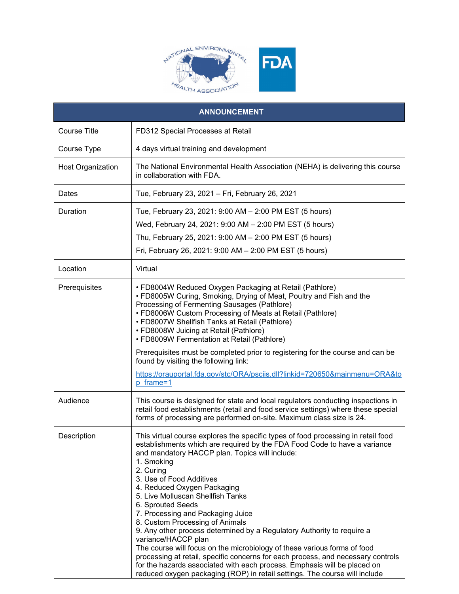

| <b>ANNOUNCEMENT</b>      |                                                                                                                                                                                                                                                                                                                                                                                                                                                                                                                                                                                                                                                                                                                                                                                                                                                                     |
|--------------------------|---------------------------------------------------------------------------------------------------------------------------------------------------------------------------------------------------------------------------------------------------------------------------------------------------------------------------------------------------------------------------------------------------------------------------------------------------------------------------------------------------------------------------------------------------------------------------------------------------------------------------------------------------------------------------------------------------------------------------------------------------------------------------------------------------------------------------------------------------------------------|
| <b>Course Title</b>      | FD312 Special Processes at Retail                                                                                                                                                                                                                                                                                                                                                                                                                                                                                                                                                                                                                                                                                                                                                                                                                                   |
| Course Type              | 4 days virtual training and development                                                                                                                                                                                                                                                                                                                                                                                                                                                                                                                                                                                                                                                                                                                                                                                                                             |
| <b>Host Organization</b> | The National Environmental Health Association (NEHA) is delivering this course<br>in collaboration with FDA.                                                                                                                                                                                                                                                                                                                                                                                                                                                                                                                                                                                                                                                                                                                                                        |
| Dates                    | Tue, February 23, 2021 - Fri, February 26, 2021                                                                                                                                                                                                                                                                                                                                                                                                                                                                                                                                                                                                                                                                                                                                                                                                                     |
| Duration                 | Tue, February 23, 2021: 9:00 AM - 2:00 PM EST (5 hours)<br>Wed, February 24, 2021: 9:00 AM - 2:00 PM EST (5 hours)<br>Thu, February 25, 2021: 9:00 AM - 2:00 PM EST (5 hours)<br>Fri, February 26, 2021: 9:00 AM - 2:00 PM EST (5 hours)                                                                                                                                                                                                                                                                                                                                                                                                                                                                                                                                                                                                                            |
| Location                 | Virtual                                                                                                                                                                                                                                                                                                                                                                                                                                                                                                                                                                                                                                                                                                                                                                                                                                                             |
| Prerequisites            | • FD8004W Reduced Oxygen Packaging at Retail (Pathlore)<br>• FD8005W Curing, Smoking, Drying of Meat, Poultry and Fish and the<br>Processing of Fermenting Sausages (Pathlore)<br>• FD8006W Custom Processing of Meats at Retail (Pathlore)<br>• FD8007W Shellfish Tanks at Retail (Pathlore)<br>• FD8008W Juicing at Retail (Pathlore)<br>• FD8009W Fermentation at Retail (Pathlore)<br>Prerequisites must be completed prior to registering for the course and can be<br>found by visiting the following link:<br>https://orauportal.fda.gov/stc/ORA/psciis.dll?linkid=720650&mainmenu=ORA&to<br>p frame=1                                                                                                                                                                                                                                                       |
| Audience                 | This course is designed for state and local regulators conducting inspections in<br>retail food establishments (retail and food service settings) where these special<br>forms of processing are performed on-site. Maximum class size is 24.                                                                                                                                                                                                                                                                                                                                                                                                                                                                                                                                                                                                                       |
| Description              | This virtual course explores the specific types of food processing in retail food<br>establishments which are required by the FDA Food Code to have a variance<br>and mandatory HACCP plan. Topics will include:<br>1. Smoking<br>2. Curing<br>3. Use of Food Additives<br>4. Reduced Oxygen Packaging<br>5. Live Molluscan Shellfish Tanks<br>6. Sprouted Seeds<br>7. Processing and Packaging Juice<br>8. Custom Processing of Animals<br>9. Any other process determined by a Regulatory Authority to require a<br>variance/HACCP plan<br>The course will focus on the microbiology of these various forms of food<br>processing at retail, specific concerns for each process, and necessary controls<br>for the hazards associated with each process. Emphasis will be placed on<br>reduced oxygen packaging (ROP) in retail settings. The course will include |